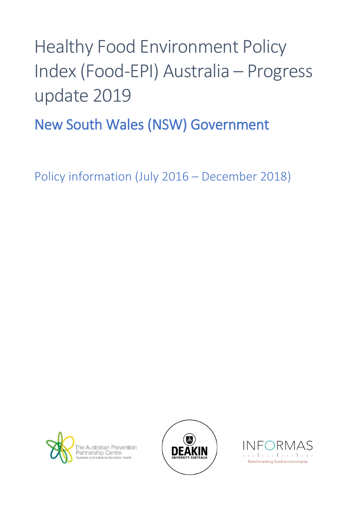## Healthy Food Environment Policy Index (Food-EPI) Australia – Progress update 2019

New South Wales (NSW) Government

Policy information (July 2016 – December 2018)





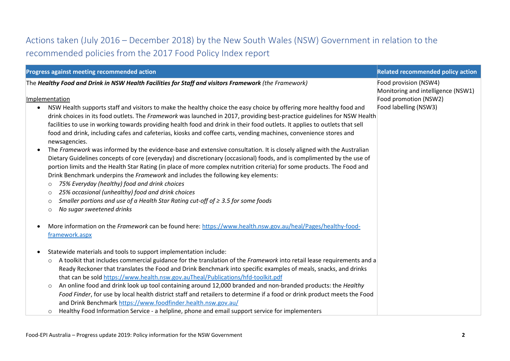## Actions taken (July 2016 – December 2018) by the New South Wales (NSW) Government in relation to the recommended policies from the 2017 Food Policy Index report

| Progress against meeting recommended action                                                                                                                                                                                                                                                                                                                                                                                                                                                                                                                                                                                                                                                                                                                                                                                                                                                                                                                                                                                                                                                                                                                                                                                                                                                                                                                                                           | <b>Related recommended policy action</b>                                                                      |
|-------------------------------------------------------------------------------------------------------------------------------------------------------------------------------------------------------------------------------------------------------------------------------------------------------------------------------------------------------------------------------------------------------------------------------------------------------------------------------------------------------------------------------------------------------------------------------------------------------------------------------------------------------------------------------------------------------------------------------------------------------------------------------------------------------------------------------------------------------------------------------------------------------------------------------------------------------------------------------------------------------------------------------------------------------------------------------------------------------------------------------------------------------------------------------------------------------------------------------------------------------------------------------------------------------------------------------------------------------------------------------------------------------|---------------------------------------------------------------------------------------------------------------|
| The Healthy Food and Drink in NSW Health Facilities for Staff and visitors Framework (the Framework)<br>Implementation<br>NSW Health supports staff and visitors to make the healthy choice the easy choice by offering more healthy food and<br>$\bullet$<br>drink choices in its food outlets. The Framework was launched in 2017, providing best-practice guidelines for NSW Health<br>facilities to use in working towards providing health food and drink in their food outlets. It applies to outlets that sell<br>food and drink, including cafes and cafeterias, kiosks and coffee carts, vending machines, convenience stores and<br>newsagencies.<br>The Framework was informed by the evidence-base and extensive consultation. It is closely aligned with the Australian<br>Dietary Guidelines concepts of core (everyday) and discretionary (occasional) foods, and is complimented by the use of<br>portion limits and the Health Star Rating (in place of more complex nutrition criteria) for some products. The Food and<br>Drink Benchmark underpins the Framework and includes the following key elements:<br>75% Everyday (healthy) food and drink choices<br>$\circ$<br>25% occasional (unhealthy) food and drink choices<br>$\circ$<br>Smaller portions and use of a Health Star Rating cut-off of $\geq 3.5$ for some foods<br>$\circ$<br>No sugar sweetened drinks<br>$\circ$ | Food provision (NSW4)<br>Monitoring and intelligence (NSW1)<br>Food promotion (NSW2)<br>Food labelling (NSW3) |
| More information on the Framework can be found here: https://www.health.nsw.gov.au/heal/Pages/healthy-food-<br>framework.aspx<br>Statewide materials and tools to support implementation include:<br>A toolkit that includes commercial guidance for the translation of the Framework into retail lease requirements and a<br>$\circ$<br>Ready Reckoner that translates the Food and Drink Benchmark into specific examples of meals, snacks, and drinks<br>that can be sold https://www.health.nsw.gov.auTheal/Publications/hfd-toolkit.pdf<br>An online food and drink look up tool containing around 12,000 branded and non-branded products: the Healthy<br>$\circ$<br>Food Finder, for use by local health district staff and retailers to determine if a food or drink product meets the Food<br>and Drink Benchmark https://www.foodfinder.health.nsw.gov.au/                                                                                                                                                                                                                                                                                                                                                                                                                                                                                                                                  |                                                                                                               |
| Healthy Food Information Service - a helpline, phone and email support service for implementers<br>$\circ$                                                                                                                                                                                                                                                                                                                                                                                                                                                                                                                                                                                                                                                                                                                                                                                                                                                                                                                                                                                                                                                                                                                                                                                                                                                                                            |                                                                                                               |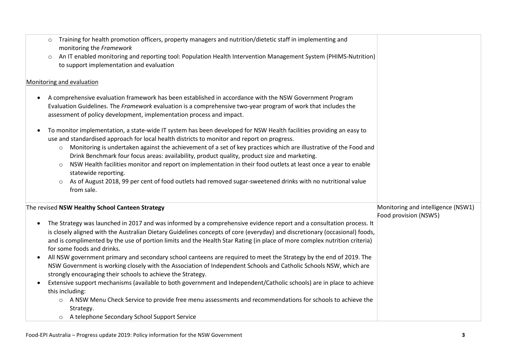| Training for health promotion officers, property managers and nutrition/dietetic staff in implementing and<br>$\circ$<br>monitoring the Framework<br>An IT enabled monitoring and reporting tool: Population Health Intervention Management System (PHIMS-Nutrition)<br>$\circ$<br>to support implementation and evaluation                                                                                                                                                                                                                                                                                                                                                                                                                                                                                                                                                                                                                                                                                                                               |                                    |
|-----------------------------------------------------------------------------------------------------------------------------------------------------------------------------------------------------------------------------------------------------------------------------------------------------------------------------------------------------------------------------------------------------------------------------------------------------------------------------------------------------------------------------------------------------------------------------------------------------------------------------------------------------------------------------------------------------------------------------------------------------------------------------------------------------------------------------------------------------------------------------------------------------------------------------------------------------------------------------------------------------------------------------------------------------------|------------------------------------|
| Monitoring and evaluation                                                                                                                                                                                                                                                                                                                                                                                                                                                                                                                                                                                                                                                                                                                                                                                                                                                                                                                                                                                                                                 |                                    |
| A comprehensive evaluation framework has been established in accordance with the NSW Government Program<br>Evaluation Guidelines. The Framework evaluation is a comprehensive two-year program of work that includes the<br>assessment of policy development, implementation process and impact.                                                                                                                                                                                                                                                                                                                                                                                                                                                                                                                                                                                                                                                                                                                                                          |                                    |
| To monitor implementation, a state-wide IT system has been developed for NSW Health facilities providing an easy to<br>use and standardised approach for local health districts to monitor and report on progress.<br>Monitoring is undertaken against the achievement of a set of key practices which are illustrative of the Food and<br>$\circ$<br>Drink Benchmark four focus areas: availability, product quality, product size and marketing.<br>NSW Health facilities monitor and report on implementation in their food outlets at least once a year to enable<br>$\circ$<br>statewide reporting.<br>As of August 2018, 99 per cent of food outlets had removed sugar-sweetened drinks with no nutritional value<br>$\circ$<br>from sale.                                                                                                                                                                                                                                                                                                          |                                    |
| The revised NSW Healthy School Canteen Strategy                                                                                                                                                                                                                                                                                                                                                                                                                                                                                                                                                                                                                                                                                                                                                                                                                                                                                                                                                                                                           | Monitoring and intelligence (NSW1) |
| The Strategy was launched in 2017 and was informed by a comprehensive evidence report and a consultation process. It<br>is closely aligned with the Australian Dietary Guidelines concepts of core (everyday) and discretionary (occasional) foods,<br>and is complimented by the use of portion limits and the Health Star Rating (in place of more complex nutrition criteria)<br>for some foods and drinks.<br>All NSW government primary and secondary school canteens are required to meet the Strategy by the end of 2019. The<br>NSW Government is working closely with the Association of Independent Schools and Catholic Schools NSW, which are<br>strongly encouraging their schools to achieve the Strategy.<br>Extensive support mechanisms (available to both government and Independent/Catholic schools) are in place to achieve<br>this including:<br>A NSW Menu Check Service to provide free menu assessments and recommendations for schools to achieve the<br>$\circ$<br>Strategy.<br>o A telephone Secondary School Support Service | Food provision (NSW5)              |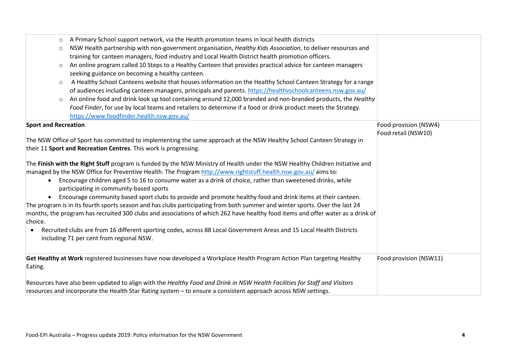| A Primary School support network, via the Health promotion teams in local health districts<br>$\circ$<br>NSW Health partnership with non-government organisation, Healthy Kids Association, to deliver resources and<br>$\circ$<br>training for canteen managers, food industry and Local Health District health promotion officers.<br>An online program called 10 Steps to a Healthy Canteen that provides practical advice for canteen managers<br>seeking guidance on becoming a healthy canteen.<br>A Healthy School Canteens website that houses information on the Healthy School Canteen Strategy for a range<br>$\circ$<br>of audiences including canteen managers, principals and parents. https://healthyschoolcanteens.nsw.gov.au/<br>An online food and drink look up tool containing around 12,000 branded and non-branded products, the Healthy<br>$\circ$<br>Food Finder, for use by local teams and retailers to determine if a food or drink product meets the Strategy.        |                                              |
|---------------------------------------------------------------------------------------------------------------------------------------------------------------------------------------------------------------------------------------------------------------------------------------------------------------------------------------------------------------------------------------------------------------------------------------------------------------------------------------------------------------------------------------------------------------------------------------------------------------------------------------------------------------------------------------------------------------------------------------------------------------------------------------------------------------------------------------------------------------------------------------------------------------------------------------------------------------------------------------------------|----------------------------------------------|
| https://www.foodfinder.health.nsw.gov.au/                                                                                                                                                                                                                                                                                                                                                                                                                                                                                                                                                                                                                                                                                                                                                                                                                                                                                                                                                         |                                              |
| <b>Sport and Recreation</b><br>The NSW Office of Sport has committed to implementing the same approach at the NSW Healthy School Canteen Strategy in<br>their 11 Sport and Recreation Centres. This work is progressing.                                                                                                                                                                                                                                                                                                                                                                                                                                                                                                                                                                                                                                                                                                                                                                          | Food provision (NSW4)<br>Food retail (NSW10) |
| The Finish with the Right Stuff program is funded by the NSW Ministry of Health under the NSW Healthy Children Initiative and<br>managed by the NSW Office for Preventive Health. The Program http://www.rightstuff.health.nsw.gov.au/aims to:<br>Encourage children aged 5 to 16 to consume water as a drink of choice, rather than sweetened drinks, while<br>$\bullet$<br>participating in community-based sports<br>Encourage community based sport clubs to provide and promote healthy food and drink items at their canteen.<br>The program is in its fourth sports season and has clubs participating from both summer and winter sports. Over the last 24<br>months, the program has recruited 300 clubs and associations of which 262 have healthy food items and offer water as a drink of<br>choice.<br>Recruited clubs are from 16 different sporting codes, across 88 Local Government Areas and 15 Local Health Districts<br>$\bullet$<br>including 71 per cent from regional NSW. |                                              |
| Get Healthy at Work registered businesses have now developed a Workplace Health Program Action Plan targeting Healthy<br>Eating.                                                                                                                                                                                                                                                                                                                                                                                                                                                                                                                                                                                                                                                                                                                                                                                                                                                                  | Food provision (NSW11)                       |
| Resources have also been updated to align with the Healthy Food and Drink in NSW Health Facilities for Staff and Visitors<br>resources and incorporate the Health Star Rating system - to ensure a consistent approach across NSW settings.                                                                                                                                                                                                                                                                                                                                                                                                                                                                                                                                                                                                                                                                                                                                                       |                                              |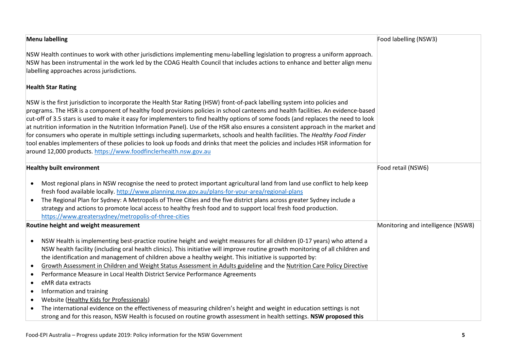| <b>Menu labelling</b>                                                                                                                                                                                                                                                                                                                                                                                                                                                                                                                                                                                                                                                                                                                                                                                                                                                                                                                                                                                                  | Food labelling (NSW3)              |
|------------------------------------------------------------------------------------------------------------------------------------------------------------------------------------------------------------------------------------------------------------------------------------------------------------------------------------------------------------------------------------------------------------------------------------------------------------------------------------------------------------------------------------------------------------------------------------------------------------------------------------------------------------------------------------------------------------------------------------------------------------------------------------------------------------------------------------------------------------------------------------------------------------------------------------------------------------------------------------------------------------------------|------------------------------------|
| NSW Health continues to work with other jurisdictions implementing menu-labelling legislation to progress a uniform approach.<br>NSW has been instrumental in the work led by the COAG Health Council that includes actions to enhance and better align menu<br>labelling approaches across jurisdictions.                                                                                                                                                                                                                                                                                                                                                                                                                                                                                                                                                                                                                                                                                                             |                                    |
| <b>Health Star Rating</b>                                                                                                                                                                                                                                                                                                                                                                                                                                                                                                                                                                                                                                                                                                                                                                                                                                                                                                                                                                                              |                                    |
| NSW is the first jurisdiction to incorporate the Health Star Rating (HSW) front-of-pack labelling system into policies and<br>programs. The HSR is a component of healthy food provisions policies in school canteens and health facilities. An evidence-based<br>cut-off of 3.5 stars is used to make it easy for implementers to find healthy options of some foods (and replaces the need to look<br>at nutrition information in the Nutrition Information Panel). Use of the HSR also ensures a consistent approach in the market and<br>for consumers who operate in multiple settings including supermarkets, schools and health facilities. The Healthy Food Finder<br>tool enables implementers of these policies to look up foods and drinks that meet the policies and includes HSR information for<br>around 12,000 products. https://www.foodfinclerhealth.nsw.gov.au                                                                                                                                      |                                    |
| <b>Healthy built environment</b>                                                                                                                                                                                                                                                                                                                                                                                                                                                                                                                                                                                                                                                                                                                                                                                                                                                                                                                                                                                       | Food retail (NSW6)                 |
| Most regional plans in NSW recognise the need to protect important agricultural land from land use conflict to help keep<br>$\bullet$<br>fresh food available locally. http://www.planning.nsw.gov.au/plans-for-your-area/regional-plans<br>The Regional Plan for Sydney: A Metropolis of Three Cities and the five district plans across greater Sydney include a<br>$\bullet$<br>strategy and actions to promote local access to healthy fresh food and to support local fresh food production.<br>https://www.greatersydney/metropolis-of-three-cities                                                                                                                                                                                                                                                                                                                                                                                                                                                              |                                    |
| Routine height and weight measurement                                                                                                                                                                                                                                                                                                                                                                                                                                                                                                                                                                                                                                                                                                                                                                                                                                                                                                                                                                                  | Monitoring and intelligence (NSW8) |
| NSW Health is implementing best-practice routine height and weight measures for all children (0-17 years) who attend a<br>$\bullet$<br>NSW health facility (including oral health clinics). This initiative will improve routine growth monitoring of all children and<br>the identification and management of children above a healthy weight. This initiative is supported by:<br>Growth Assessment in Children and Weight Status Assessment in Adults guideline and the Nutrition Care Policy Directive<br>$\bullet$<br>Performance Measure in Local Health District Service Performance Agreements<br>$\bullet$<br>eMR data extracts<br>$\bullet$<br>Information and training<br>$\bullet$<br>Website (Healthy Kids for Professionals)<br>$\bullet$<br>The international evidence on the effectiveness of measuring children's height and weight in education settings is not<br>$\bullet$<br>strong and for this reason, NSW Health is focused on routine growth assessment in health settings. NSW proposed this |                                    |

Food-EPI Australia – Progress update 2019: Policy information for the NSW Government **5**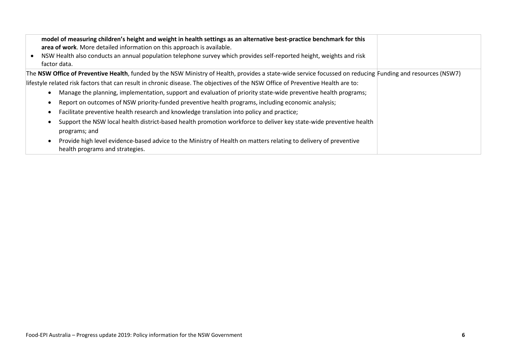| model of measuring children's height and weight in health settings as an alternative best-practice benchmark for this<br>area of work. More detailed information on this approach is available.<br>NSW Health also conducts an annual population telephone survey which provides self-reported height, weights and risk<br>factor data. |
|-----------------------------------------------------------------------------------------------------------------------------------------------------------------------------------------------------------------------------------------------------------------------------------------------------------------------------------------|
| The NSW Office of Preventive Health, funded by the NSW Ministry of Health, provides a state-wide service focussed on reducing Funding and resources (NSW7)                                                                                                                                                                              |
| lifestyle related risk factors that can result in chronic disease. The objectives of the NSW Office of Preventive Health are to:                                                                                                                                                                                                        |
| Manage the planning, implementation, support and evaluation of priority state-wide preventive health programs;                                                                                                                                                                                                                          |
| Report on outcomes of NSW priority-funded preventive health programs, including economic analysis;                                                                                                                                                                                                                                      |
| Facilitate preventive health research and knowledge translation into policy and practice;                                                                                                                                                                                                                                               |
| Support the NSW local health district-based health promotion workforce to deliver key state-wide preventive health                                                                                                                                                                                                                      |
| programs; and                                                                                                                                                                                                                                                                                                                           |
| Provide high level evidence-based advice to the Ministry of Health on matters relating to delivery of preventive<br>health programs and strategies.                                                                                                                                                                                     |